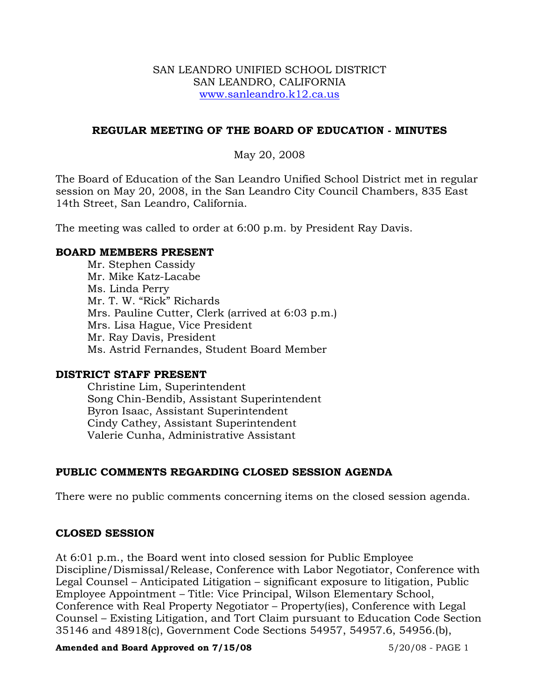### SAN LEANDRO UNIFIED SCHOOL DISTRICT SAN LEANDRO, CALIFORNIA www.sanleandro.k12.ca.us

## **REGULAR MEETING OF THE BOARD OF EDUCATION - MINUTES**

May 20, 2008

The Board of Education of the San Leandro Unified School District met in regular session on May 20, 2008, in the San Leandro City Council Chambers, 835 East 14th Street, San Leandro, California.

The meeting was called to order at 6:00 p.m. by President Ray Davis.

### **BOARD MEMBERS PRESENT**

Mr. Stephen Cassidy Mr. Mike Katz-Lacabe Ms. Linda Perry Mr. T. W. "Rick" Richards Mrs. Pauline Cutter, Clerk (arrived at 6:03 p.m.) Mrs. Lisa Hague, Vice President Mr. Ray Davis, President Ms. Astrid Fernandes, Student Board Member

## **DISTRICT STAFF PRESENT**

Christine Lim, Superintendent Song Chin-Bendib, Assistant Superintendent Byron Isaac, Assistant Superintendent Cindy Cathey, Assistant Superintendent Valerie Cunha, Administrative Assistant

## **PUBLIC COMMENTS REGARDING CLOSED SESSION AGENDA**

There were no public comments concerning items on the closed session agenda.

## **CLOSED SESSION**

At 6:01 p.m., the Board went into closed session for Public Employee Discipline/Dismissal/Release, Conference with Labor Negotiator, Conference with Legal Counsel – Anticipated Litigation – significant exposure to litigation, Public Employee Appointment – Title: Vice Principal, Wilson Elementary School, Conference with Real Property Negotiator – Property(ies), Conference with Legal Counsel – Existing Litigation, and Tort Claim pursuant to Education Code Section 35146 and 48918(c), Government Code Sections 54957, 54957.6, 54956.(b),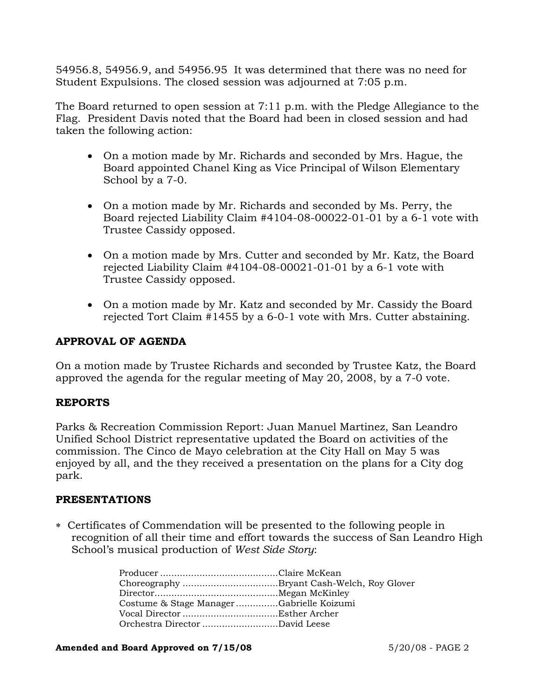54956.8, 54956.9, and 54956.95 It was determined that there was no need for Student Expulsions. The closed session was adjourned at 7:05 p.m.

The Board returned to open session at 7:11 p.m. with the Pledge Allegiance to the Flag. President Davis noted that the Board had been in closed session and had taken the following action:

- On a motion made by Mr. Richards and seconded by Mrs. Hague, the Board appointed Chanel King as Vice Principal of Wilson Elementary School by a 7-0.
- On a motion made by Mr. Richards and seconded by Ms. Perry, the Board rejected Liability Claim #4104-08-00022-01-01 by a 6-1 vote with Trustee Cassidy opposed.
- On a motion made by Mrs. Cutter and seconded by Mr. Katz, the Board rejected Liability Claim #4104-08-00021-01-01 by a 6-1 vote with Trustee Cassidy opposed.
- On a motion made by Mr. Katz and seconded by Mr. Cassidy the Board rejected Tort Claim #1455 by a 6-0-1 vote with Mrs. Cutter abstaining.

## **APPROVAL OF AGENDA**

On a motion made by Trustee Richards and seconded by Trustee Katz, the Board approved the agenda for the regular meeting of May 20, 2008, by a 7-0 vote.

### **REPORTS**

Parks & Recreation Commission Report: Juan Manuel Martinez, San Leandro Unified School District representative updated the Board on activities of the commission. The Cinco de Mayo celebration at the City Hall on May 5 was enjoyed by all, and the they received a presentation on the plans for a City dog park.

### **PRESENTATIONS**

∗ Certificates of Commendation will be presented to the following people in recognition of all their time and effort towards the success of San Leandro High School's musical production of *West Side Story*:

|                                          | Choreography Bryant Cash-Welch, Roy Glover |
|------------------------------------------|--------------------------------------------|
|                                          |                                            |
| Costume & Stage ManagerGabrielle Koizumi |                                            |
|                                          |                                            |
| Orchestra Director David Leese           |                                            |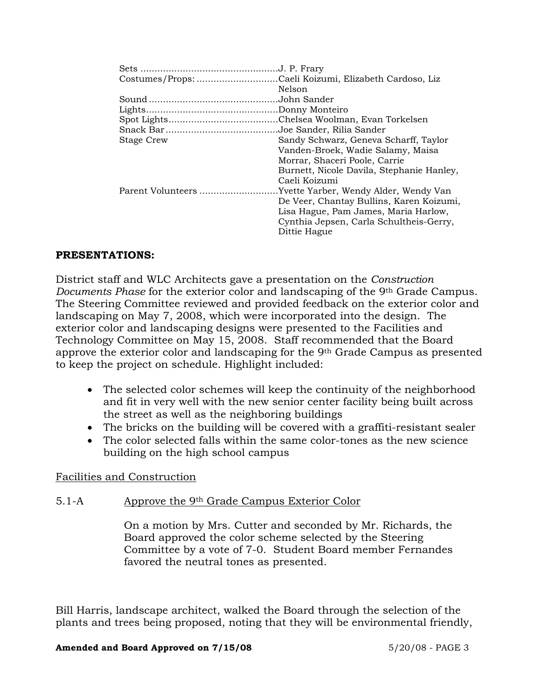|                   | Costumes/Props: Caeli Koizumi, Elizabeth Cardoso, Liz   |
|-------------------|---------------------------------------------------------|
|                   | Nelson                                                  |
|                   |                                                         |
|                   |                                                         |
|                   |                                                         |
|                   |                                                         |
| <b>Stage Crew</b> | Sandy Schwarz, Geneva Scharff, Taylor                   |
|                   | Vanden-Broek, Wadie Salamy, Maisa                       |
|                   | Morrar, Shaceri Poole, Carrie                           |
|                   | Burnett, Nicole Davila, Stephanie Hanley,               |
|                   | Caeli Koizumi                                           |
|                   | Parent Volunteers Yvette Yarber, Wendy Alder, Wendy Van |
|                   | De Veer, Chantay Bullins, Karen Koizumi,                |
|                   | Lisa Hague, Pam James, Maria Harlow,                    |
|                   | Cynthia Jepsen, Carla Schultheis-Gerry,                 |
|                   | Dittie Hague                                            |
|                   |                                                         |

## **PRESENTATIONS:**

District staff and WLC Architects gave a presentation on the *Construction Documents Phase* for the exterior color and landscaping of the 9th Grade Campus. The Steering Committee reviewed and provided feedback on the exterior color and landscaping on May 7, 2008, which were incorporated into the design. The exterior color and landscaping designs were presented to the Facilities and Technology Committee on May 15, 2008. Staff recommended that the Board approve the exterior color and landscaping for the 9th Grade Campus as presented to keep the project on schedule. Highlight included:

- The selected color schemes will keep the continuity of the neighborhood and fit in very well with the new senior center facility being built across the street as well as the neighboring buildings
- The bricks on the building will be covered with a graffiti-resistant sealer
- The color selected falls within the same color-tones as the new science building on the high school campus

## Facilities and Construction

## 5.1-A Approve the 9th Grade Campus Exterior Color

On a motion by Mrs. Cutter and seconded by Mr. Richards, the Board approved the color scheme selected by the Steering Committee by a vote of 7-0. Student Board member Fernandes favored the neutral tones as presented.

Bill Harris, landscape architect, walked the Board through the selection of the plants and trees being proposed, noting that they will be environmental friendly,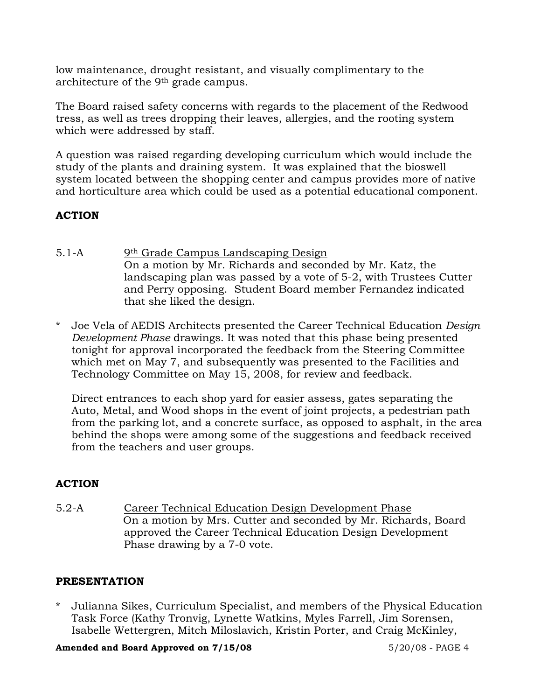low maintenance, drought resistant, and visually complimentary to the architecture of the 9th grade campus.

The Board raised safety concerns with regards to the placement of the Redwood tress, as well as trees dropping their leaves, allergies, and the rooting system which were addressed by staff.

A question was raised regarding developing curriculum which would include the study of the plants and draining system. It was explained that the bioswell system located between the shopping center and campus provides more of native and horticulture area which could be used as a potential educational component.

# **ACTION**

- 5.1-A 9th Grade Campus Landscaping Design On a motion by Mr. Richards and seconded by Mr. Katz, the landscaping plan was passed by a vote of 5-2, with Trustees Cutter and Perry opposing. Student Board member Fernandez indicated that she liked the design.
- \* Joe Vela of AEDIS Architects presented the Career Technical Education *Design Development Phase* drawings. It was noted that this phase being presented tonight for approval incorporated the feedback from the Steering Committee which met on May 7, and subsequently was presented to the Facilities and Technology Committee on May 15, 2008, for review and feedback.

 Direct entrances to each shop yard for easier assess, gates separating the Auto, Metal, and Wood shops in the event of joint projects, a pedestrian path from the parking lot, and a concrete surface, as opposed to asphalt, in the area behind the shops were among some of the suggestions and feedback received from the teachers and user groups.

## **ACTION**

5.2-A Career Technical Education Design Development Phase On a motion by Mrs. Cutter and seconded by Mr. Richards, Board approved the Career Technical Education Design Development Phase drawing by a 7-0 vote.

## **PRESENTATION**

\* Julianna Sikes, Curriculum Specialist, and members of the Physical Education Task Force (Kathy Tronvig, Lynette Watkins, Myles Farrell, Jim Sorensen, Isabelle Wettergren, Mitch Miloslavich, Kristin Porter, and Craig McKinley,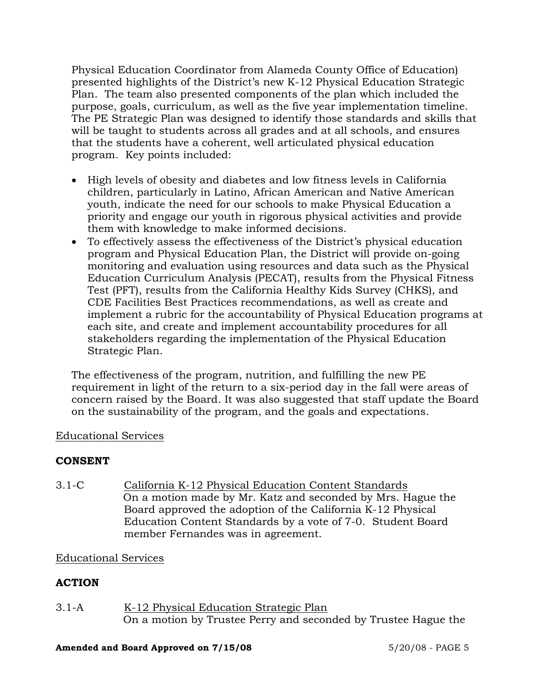Physical Education Coordinator from Alameda County Office of Education) presented highlights of the District's new K-12 Physical Education Strategic Plan. The team also presented components of the plan which included the purpose, goals, curriculum, as well as the five year implementation timeline. The PE Strategic Plan was designed to identify those standards and skills that will be taught to students across all grades and at all schools, and ensures that the students have a coherent, well articulated physical education program. Key points included:

- High levels of obesity and diabetes and low fitness levels in California children, particularly in Latino, African American and Native American youth, indicate the need for our schools to make Physical Education a priority and engage our youth in rigorous physical activities and provide them with knowledge to make informed decisions.
- To effectively assess the effectiveness of the District's physical education program and Physical Education Plan, the District will provide on-going monitoring and evaluation using resources and data such as the Physical Education Curriculum Analysis (PECAT), results from the Physical Fitness Test (PFT), results from the California Healthy Kids Survey (CHKS), and CDE Facilities Best Practices recommendations, as well as create and implement a rubric for the accountability of Physical Education programs at each site, and create and implement accountability procedures for all stakeholders regarding the implementation of the Physical Education Strategic Plan.

The effectiveness of the program, nutrition, and fulfilling the new PE requirement in light of the return to a six-period day in the fall were areas of concern raised by the Board. It was also suggested that staff update the Board on the sustainability of the program, and the goals and expectations.

## Educational Services

## **CONSENT**

3.1-C California K-12 Physical Education Content Standards On a motion made by Mr. Katz and seconded by Mrs. Hague the Board approved the adoption of the California K-12 Physical Education Content Standards by a vote of 7-0. Student Board member Fernandes was in agreement.

# Educational Services

# **ACTION**

3.1-A K-12 Physical Education Strategic Plan On a motion by Trustee Perry and seconded by Trustee Hague the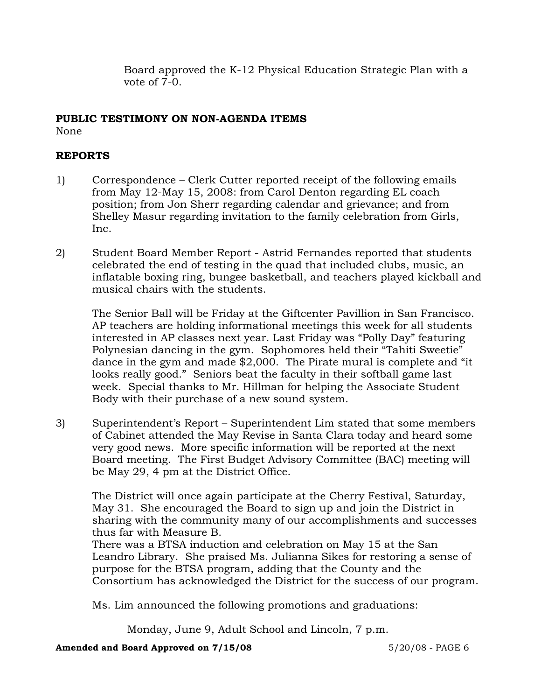Board approved the K-12 Physical Education Strategic Plan with a vote of 7-0.

### **PUBLIC TESTIMONY ON NON-AGENDA ITEMS** None

# **REPORTS**

- 1) Correspondence Clerk Cutter reported receipt of the following emails from May 12-May 15, 2008: from Carol Denton regarding EL coach position; from Jon Sherr regarding calendar and grievance; and from Shelley Masur regarding invitation to the family celebration from Girls, Inc.
- 2) Student Board Member Report Astrid Fernandes reported that students celebrated the end of testing in the quad that included clubs, music, an inflatable boxing ring, bungee basketball, and teachers played kickball and musical chairs with the students.

The Senior Ball will be Friday at the Giftcenter Pavillion in San Francisco. AP teachers are holding informational meetings this week for all students interested in AP classes next year. Last Friday was "Polly Day" featuring Polynesian dancing in the gym. Sophomores held their "Tahiti Sweetie" dance in the gym and made \$2,000. The Pirate mural is complete and "it looks really good." Seniors beat the faculty in their softball game last week. Special thanks to Mr. Hillman for helping the Associate Student Body with their purchase of a new sound system.

3) Superintendent's Report – Superintendent Lim stated that some members of Cabinet attended the May Revise in Santa Clara today and heard some very good news. More specific information will be reported at the next Board meeting. The First Budget Advisory Committee (BAC) meeting will be May 29, 4 pm at the District Office.

The District will once again participate at the Cherry Festival, Saturday, May 31. She encouraged the Board to sign up and join the District in sharing with the community many of our accomplishments and successes thus far with Measure B.

There was a BTSA induction and celebration on May 15 at the San Leandro Library. She praised Ms. Julianna Sikes for restoring a sense of purpose for the BTSA program, adding that the County and the Consortium has acknowledged the District for the success of our program.

Ms. Lim announced the following promotions and graduations:

Monday, June 9, Adult School and Lincoln, 7 p.m.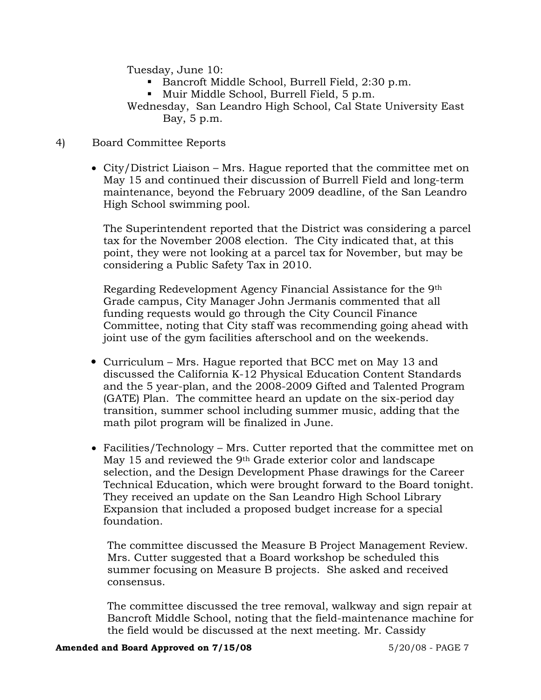Tuesday, June 10:

- Bancroft Middle School, Burrell Field, 2:30 p.m.
- Muir Middle School, Burrell Field, 5 p.m.

 Wednesday, San Leandro High School, Cal State University East Bay, 5 p.m.

## 4) Board Committee Reports

• City/District Liaison – Mrs. Hague reported that the committee met on May 15 and continued their discussion of Burrell Field and long-term maintenance, beyond the February 2009 deadline, of the San Leandro High School swimming pool.

The Superintendent reported that the District was considering a parcel tax for the November 2008 election. The City indicated that, at this point, they were not looking at a parcel tax for November, but may be considering a Public Safety Tax in 2010.

 Regarding Redevelopment Agency Financial Assistance for the 9th Grade campus, City Manager John Jermanis commented that all funding requests would go through the City Council Finance Committee, noting that City staff was recommending going ahead with joint use of the gym facilities afterschool and on the weekends.

- Curriculum Mrs. Hague reported that BCC met on May 13 and discussed the California K-12 Physical Education Content Standards and the 5 year-plan, and the 2008-2009 Gifted and Talented Program (GATE) Plan. The committee heard an update on the six-period day transition, summer school including summer music, adding that the math pilot program will be finalized in June.
- Facilities/Technology Mrs. Cutter reported that the committee met on May 15 and reviewed the 9th Grade exterior color and landscape selection, and the Design Development Phase drawings for the Career Technical Education, which were brought forward to the Board tonight. They received an update on the San Leandro High School Library Expansion that included a proposed budget increase for a special foundation.

 The committee discussed the Measure B Project Management Review. Mrs. Cutter suggested that a Board workshop be scheduled this summer focusing on Measure B projects. She asked and received consensus.

 The committee discussed the tree removal, walkway and sign repair at Bancroft Middle School, noting that the field-maintenance machine for the field would be discussed at the next meeting. Mr. Cassidy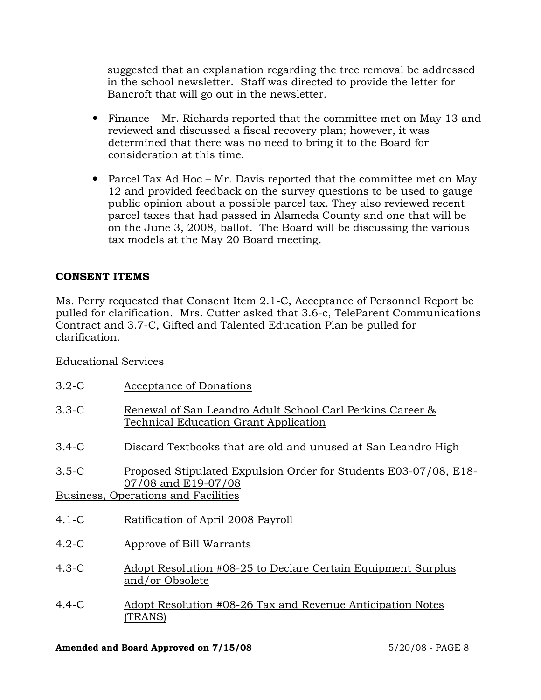suggested that an explanation regarding the tree removal be addressed in the school newsletter. Staff was directed to provide the letter for Bancroft that will go out in the newsletter.

- Finance Mr. Richards reported that the committee met on May 13 and reviewed and discussed a fiscal recovery plan; however, it was determined that there was no need to bring it to the Board for consideration at this time.
- Parcel Tax Ad Hoc Mr. Davis reported that the committee met on May 12 and provided feedback on the survey questions to be used to gauge public opinion about a possible parcel tax. They also reviewed recent parcel taxes that had passed in Alameda County and one that will be on the June 3, 2008, ballot. The Board will be discussing the various tax models at the May 20 Board meeting.

# **CONSENT ITEMS**

Ms. Perry requested that Consent Item 2.1-C, Acceptance of Personnel Report be pulled for clarification. Mrs. Cutter asked that 3.6-c, TeleParent Communications Contract and 3.7-C, Gifted and Talented Education Plan be pulled for clarification.

## Educational Services

| $3.2-C$                             | Acceptance of Donations                                                                                   |  |
|-------------------------------------|-----------------------------------------------------------------------------------------------------------|--|
| $3.3 - C$                           | Renewal of San Leandro Adult School Carl Perkins Career &<br><b>Technical Education Grant Application</b> |  |
| $3.4-C$                             | Discard Textbooks that are old and unused at San Leandro High                                             |  |
| $3.5-C$                             | Proposed Stipulated Expulsion Order for Students E03-07/08, E18-<br>07/08 and E19-07/08                   |  |
| Business, Operations and Facilities |                                                                                                           |  |
| $4.1-C$                             | Ratification of April 2008 Payroll                                                                        |  |
| $4.2-C$                             | Approve of Bill Warrants                                                                                  |  |
| $4.3-C$                             | Adopt Resolution #08-25 to Declare Certain Equipment Surplus<br>and/or Obsolete                           |  |
| $4.4 - C$                           | Adopt Resolution #08-26 Tax and Revenue Anticipation Notes<br>(TRANS)                                     |  |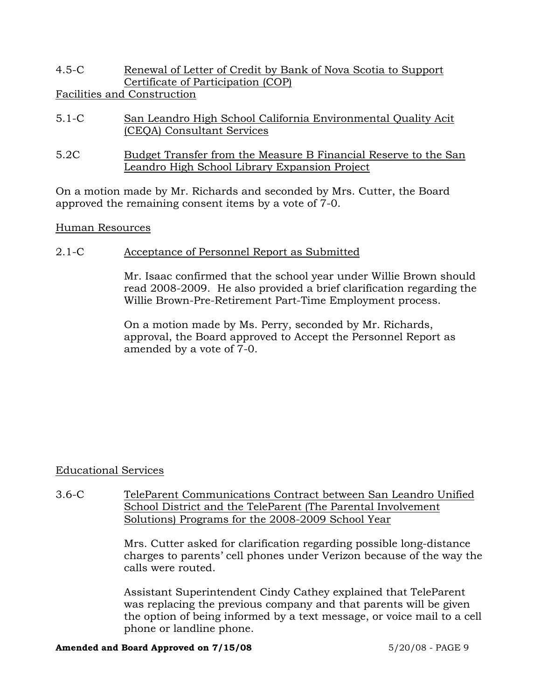4.5-C Renewal of Letter of Credit by Bank of Nova Scotia to Support Certificate of Participation (COP)

Facilities and Construction

- 5.1-C San Leandro High School California Environmental Quality Acit (CEQA) Consultant Services
- 5.2C Budget Transfer from the Measure B Financial Reserve to the San Leandro High School Library Expansion Project

On a motion made by Mr. Richards and seconded by Mrs. Cutter, the Board approved the remaining consent items by a vote of 7-0.

## Human Resources

## 2.1-C Acceptance of Personnel Report as Submitted

Mr. Isaac confirmed that the school year under Willie Brown should read 2008-2009. He also provided a brief clarification regarding the Willie Brown-Pre-Retirement Part-Time Employment process.

On a motion made by Ms. Perry, seconded by Mr. Richards, approval, the Board approved to Accept the Personnel Report as amended by a vote of 7-0.

## Educational Services

3.6-C TeleParent Communications Contract between San Leandro Unified School District and the TeleParent (The Parental Involvement Solutions) Programs for the 2008-2009 School Year

> Mrs. Cutter asked for clarification regarding possible long-distance charges to parents' cell phones under Verizon because of the way the calls were routed.

> Assistant Superintendent Cindy Cathey explained that TeleParent was replacing the previous company and that parents will be given the option of being informed by a text message, or voice mail to a cell phone or landline phone.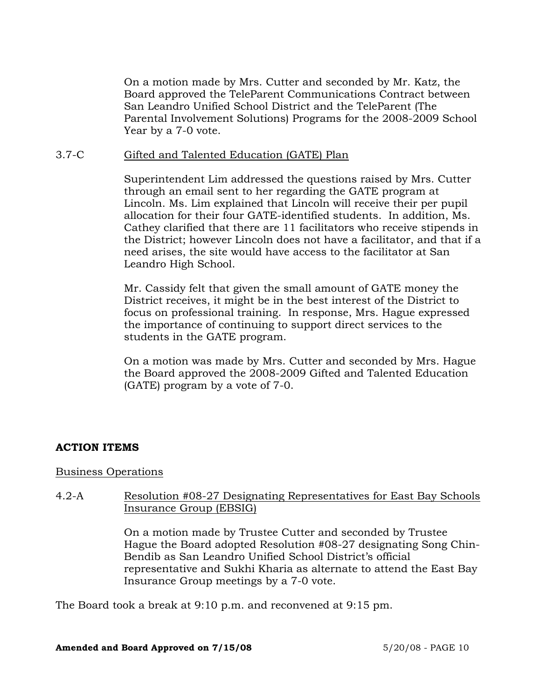On a motion made by Mrs. Cutter and seconded by Mr. Katz, the Board approved the TeleParent Communications Contract between San Leandro Unified School District and the TeleParent (The Parental Involvement Solutions) Programs for the 2008-2009 School Year by a 7-0 vote.

### 3.7-C Gifted and Talented Education (GATE) Plan

Superintendent Lim addressed the questions raised by Mrs. Cutter through an email sent to her regarding the GATE program at Lincoln. Ms. Lim explained that Lincoln will receive their per pupil allocation for their four GATE-identified students. In addition, Ms. Cathey clarified that there are 11 facilitators who receive stipends in the District; however Lincoln does not have a facilitator, and that if a need arises, the site would have access to the facilitator at San Leandro High School.

Mr. Cassidy felt that given the small amount of GATE money the District receives, it might be in the best interest of the District to focus on professional training. In response, Mrs. Hague expressed the importance of continuing to support direct services to the students in the GATE program.

On a motion was made by Mrs. Cutter and seconded by Mrs. Hague the Board approved the 2008-2009 Gifted and Talented Education (GATE) program by a vote of 7-0.

### **ACTION ITEMS**

### Business Operations

## 4.2-A Resolution #08-27 Designating Representatives for East Bay Schools Insurance Group (EBSIG)

On a motion made by Trustee Cutter and seconded by Trustee Hague the Board adopted Resolution #08-27 designating Song Chin-Bendib as San Leandro Unified School District's official representative and Sukhi Kharia as alternate to attend the East Bay Insurance Group meetings by a 7-0 vote.

The Board took a break at 9:10 p.m. and reconvened at 9:15 pm.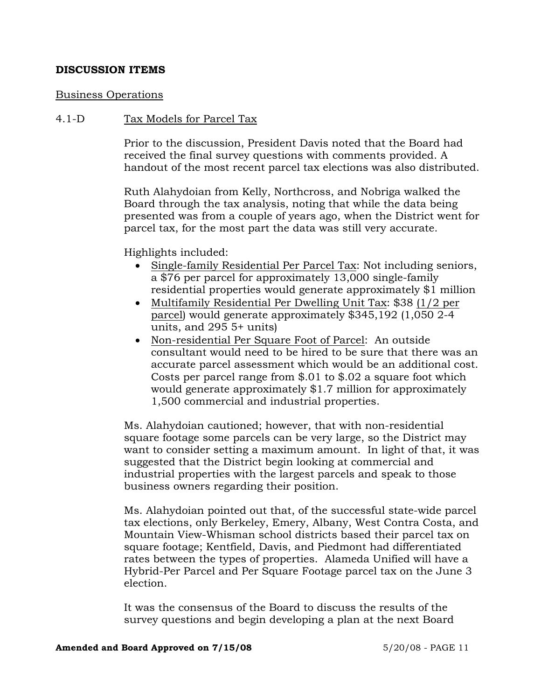## **DISCUSSION ITEMS**

### Business Operations

### 4.1-D Tax Models for Parcel Tax

Prior to the discussion, President Davis noted that the Board had received the final survey questions with comments provided. A handout of the most recent parcel tax elections was also distributed.

Ruth Alahydoian from Kelly, Northcross, and Nobriga walked the Board through the tax analysis, noting that while the data being presented was from a couple of years ago, when the District went for parcel tax, for the most part the data was still very accurate.

Highlights included:

- Single-family Residential Per Parcel Tax: Not including seniors, a \$76 per parcel for approximately 13,000 single-family residential properties would generate approximately \$1 million
- Multifamily Residential Per Dwelling Unit Tax: \$38 (1/2 per parcel) would generate approximately \$345,192 (1,050 2-4 units, and 295 5+ units)
- Non-residential Per Square Foot of Parcel: An outside consultant would need to be hired to be sure that there was an accurate parcel assessment which would be an additional cost. Costs per parcel range from \$.01 to \$.02 a square foot which would generate approximately \$1.7 million for approximately 1,500 commercial and industrial properties.

Ms. Alahydoian cautioned; however, that with non-residential square footage some parcels can be very large, so the District may want to consider setting a maximum amount. In light of that, it was suggested that the District begin looking at commercial and industrial properties with the largest parcels and speak to those business owners regarding their position.

Ms. Alahydoian pointed out that, of the successful state-wide parcel tax elections, only Berkeley, Emery, Albany, West Contra Costa, and Mountain View-Whisman school districts based their parcel tax on square footage; Kentfield, Davis, and Piedmont had differentiated rates between the types of properties. Alameda Unified will have a Hybrid-Per Parcel and Per Square Footage parcel tax on the June 3 election.

It was the consensus of the Board to discuss the results of the survey questions and begin developing a plan at the next Board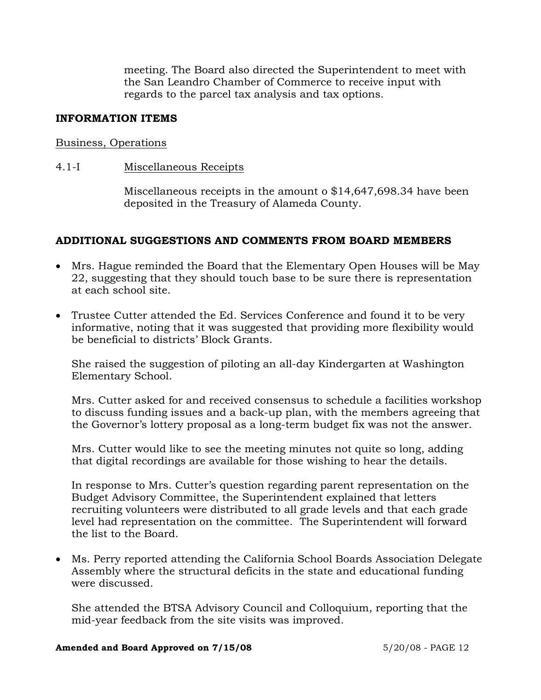meeting. The Board also directed the Superintendent to meet with the San Leandro Chamber of Commerce to receive input with regards to the parcel tax analysis and tax options.

## **INFORMATION ITEMS**

### Business, Operations

## 4.1-I Miscellaneous Receipts

Miscellaneous receipts in the amount o \$14,647,698.34 have been deposited in the Treasury of Alameda County.

## **ADDITIONAL SUGGESTIONS AND COMMENTS FROM BOARD MEMBERS**

- Mrs. Hague reminded the Board that the Elementary Open Houses will be May 22, suggesting that they should touch base to be sure there is representation at each school site.
- Trustee Cutter attended the Ed. Services Conference and found it to be very informative, noting that it was suggested that providing more flexibility would be beneficial to districts' Block Grants.

She raised the suggestion of piloting an all-day Kindergarten at Washington Elementary School.

Mrs. Cutter asked for and received consensus to schedule a facilities workshop to discuss funding issues and a back-up plan, with the members agreeing that the Governor's lottery proposal as a long-term budget fix was not the answer.

Mrs. Cutter would like to see the meeting minutes not quite so long, adding that digital recordings are available for those wishing to hear the details.

In response to Mrs. Cutter's question regarding parent representation on the Budget Advisory Committee, the Superintendent explained that letters recruiting volunteers were distributed to all grade levels and that each grade level had representation on the committee. The Superintendent will forward the list to the Board.

• Ms. Perry reported attending the California School Boards Association Delegate Assembly where the structural deficits in the state and educational funding were discussed.

She attended the BTSA Advisory Council and Colloquium, reporting that the mid-year feedback from the site visits was improved.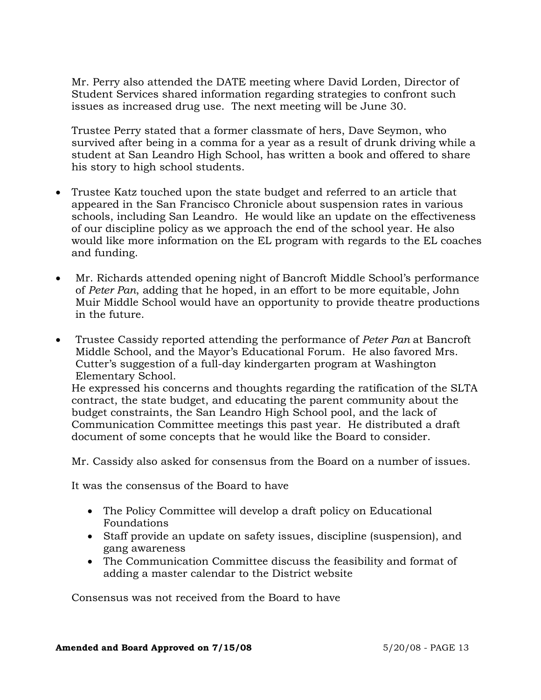Mr. Perry also attended the DATE meeting where David Lorden, Director of Student Services shared information regarding strategies to confront such issues as increased drug use. The next meeting will be June 30.

Trustee Perry stated that a former classmate of hers, Dave Seymon, who survived after being in a comma for a year as a result of drunk driving while a student at San Leandro High School, has written a book and offered to share his story to high school students.

- Trustee Katz touched upon the state budget and referred to an article that appeared in the San Francisco Chronicle about suspension rates in various schools, including San Leandro. He would like an update on the effectiveness of our discipline policy as we approach the end of the school year. He also would like more information on the EL program with regards to the EL coaches and funding.
- Mr. Richards attended opening night of Bancroft Middle School's performance of *Peter Pan*, adding that he hoped, in an effort to be more equitable, John Muir Middle School would have an opportunity to provide theatre productions in the future.
- Trustee Cassidy reported attending the performance of *Peter Pan* at Bancroft Middle School, and the Mayor's Educational Forum. He also favored Mrs. Cutter's suggestion of a full-day kindergarten program at Washington Elementary School. He expressed his concerns and thoughts regarding the ratification of the SLTA contract, the state budget, and educating the parent community about the budget constraints, the San Leandro High School pool, and the lack of Communication Committee meetings this past year. He distributed a draft

document of some concepts that he would like the Board to consider.

Mr. Cassidy also asked for consensus from the Board on a number of issues.

It was the consensus of the Board to have

- The Policy Committee will develop a draft policy on Educational Foundations
- Staff provide an update on safety issues, discipline (suspension), and gang awareness
- The Communication Committee discuss the feasibility and format of adding a master calendar to the District website

Consensus was not received from the Board to have